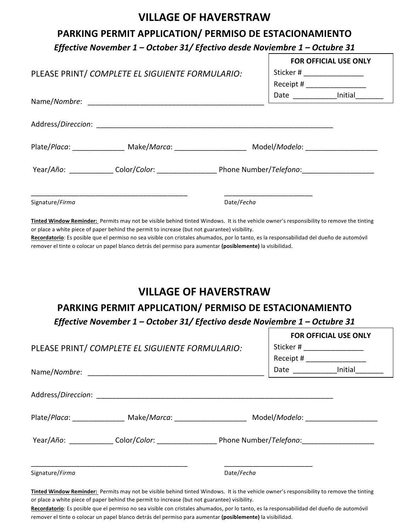## **VILLAGE OF HAVERSTRAW**

## PARKING PERMIT APPLICATION/ PERMISO DE ESTACIONAMIENTO

*Effective November 1 – October 31/ Efectivo desde Noviembre 1 – Octubre 31*

|                                                                                                                                                                                                                                                                                                                                                   |                                                                                                                | <b>FOR OFFICIAL USE ONLY</b>  |                                                              |  |
|---------------------------------------------------------------------------------------------------------------------------------------------------------------------------------------------------------------------------------------------------------------------------------------------------------------------------------------------------|----------------------------------------------------------------------------------------------------------------|-------------------------------|--------------------------------------------------------------|--|
| PLEASE PRINT/ COMPLETE EL SIGUIENTE FORMULARIO:                                                                                                                                                                                                                                                                                                   |                                                                                                                | Sticker # ___________________ |                                                              |  |
|                                                                                                                                                                                                                                                                                                                                                   |                                                                                                                |                               | Receipt # ___________________                                |  |
|                                                                                                                                                                                                                                                                                                                                                   |                                                                                                                |                               | Date ________________Initial_____                            |  |
|                                                                                                                                                                                                                                                                                                                                                   |                                                                                                                |                               |                                                              |  |
|                                                                                                                                                                                                                                                                                                                                                   |                                                                                                                |                               |                                                              |  |
|                                                                                                                                                                                                                                                                                                                                                   | Plate/Placa: _________________ Make/Marca: _________________________ Model/Modelo: ___________________________ |                               |                                                              |  |
|                                                                                                                                                                                                                                                                                                                                                   |                                                                                                                |                               |                                                              |  |
| Signature/Firma                                                                                                                                                                                                                                                                                                                                   | Date/Fecha                                                                                                     |                               |                                                              |  |
| Recordatorio: Es posible que el permiso no sea visible con cristales ahumados, por lo tanto, es la responsabilidad del dueño de automóvil<br>remover el tinte o colocar un papel blanco detrás del permiso para aumentar (posiblemente) la visibilidad.<br><b>VILLAGE OF HAVERSTRAW</b><br>PARKING PERMIT APPLICATION/ PERMISO DE ESTACIONAMIENTO |                                                                                                                |                               |                                                              |  |
| Effective November 1 – October 31/ Efectivo desde Noviembre 1 – Octubre 31                                                                                                                                                                                                                                                                        |                                                                                                                |                               |                                                              |  |
| PLEASE PRINT/ COMPLETE EL SIGUIENTE FORMULARIO:                                                                                                                                                                                                                                                                                                   |                                                                                                                |                               | <b>FOR OFFICIAL USE ONLY</b><br>Sticker # __________________ |  |
|                                                                                                                                                                                                                                                                                                                                                   |                                                                                                                |                               |                                                              |  |
|                                                                                                                                                                                                                                                                                                                                                   |                                                                                                                |                               | Date _________________Initial_________                       |  |
|                                                                                                                                                                                                                                                                                                                                                   |                                                                                                                |                               |                                                              |  |
|                                                                                                                                                                                                                                                                                                                                                   |                                                                                                                |                               |                                                              |  |
|                                                                                                                                                                                                                                                                                                                                                   |                                                                                                                |                               |                                                              |  |
| Signature/Firma                                                                                                                                                                                                                                                                                                                                   | Date/Fecha                                                                                                     |                               |                                                              |  |

Tinted Window Reminder: Permits may not be visible behind tinted Windows. It is the vehicle owner's responsibility to remove the tinting or place a white piece of paper behind the permit to increase (but not guarantee) visibility.

Recordatorio: Es posible que el permiso no sea visible con cristales ahumados, por lo tanto, es la responsabilidad del dueño de automóvil remover el tinte o colocar un papel blanco detrás del permiso para aumentar (posiblemente) la visibilidad.